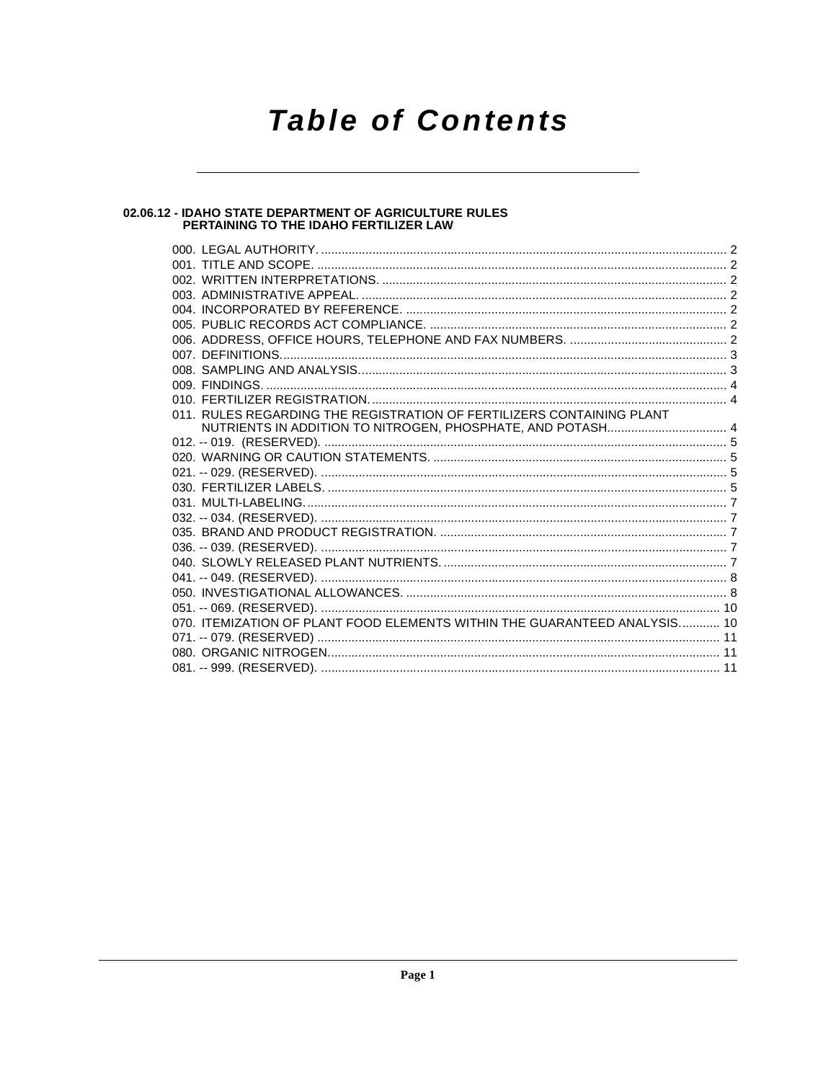# **Table of Contents**

# 02.06.12 - IDAHO STATE DEPARTMENT OF AGRICULTURE RULES<br>PERTAINING TO THE IDAHO FERTILIZER LAW

| 011. RULES REGARDING THE REGISTRATION OF FERTILIZERS CONTAINING PLANT     |  |
|---------------------------------------------------------------------------|--|
|                                                                           |  |
|                                                                           |  |
|                                                                           |  |
|                                                                           |  |
|                                                                           |  |
|                                                                           |  |
|                                                                           |  |
|                                                                           |  |
|                                                                           |  |
|                                                                           |  |
|                                                                           |  |
|                                                                           |  |
|                                                                           |  |
| 070. ITEMIZATION OF PLANT FOOD ELEMENTS WITHIN THE GUARANTEED ANALYSIS 10 |  |
|                                                                           |  |
|                                                                           |  |
|                                                                           |  |
|                                                                           |  |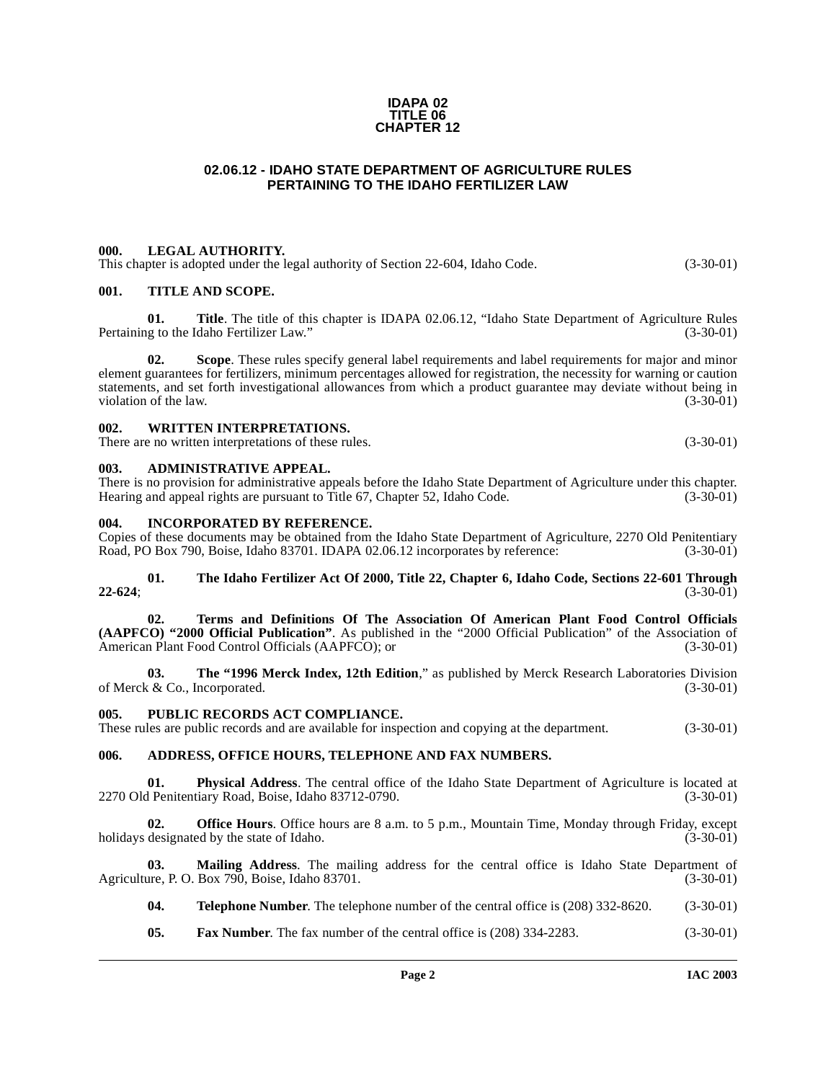### **IDAPA 02 TITLE 06 CHAPTER 12**

# **02.06.12 - IDAHO STATE DEPARTMENT OF AGRICULTURE RULES PERTAINING TO THE IDAHO FERTILIZER LAW**

# <span id="page-1-1"></span><span id="page-1-0"></span>**000. LEGAL AUTHORITY.**

This chapter is adopted under the legal authority of Section 22-604, Idaho Code. (3-30-01)

# <span id="page-1-2"></span>**001. TITLE AND SCOPE.**

**01. Title**. The title of this chapter is IDAPA 02.06.12, "Idaho State Department of Agriculture Rules us to the Idaho Fertilizer Law." (3-30-01) Pertaining to the Idaho Fertilizer Law."

**02. Scope**. These rules specify general label requirements and label requirements for major and minor element guarantees for fertilizers, minimum percentages allowed for registration, the necessity for warning or caution statements, and set forth investigational allowances from which a product guarantee may deviate without being in violation of the law. (3-30-01) violation of the law.

# <span id="page-1-3"></span>**002. WRITTEN INTERPRETATIONS.**

There are no written interpretations of these rules. (3-30-01)

## <span id="page-1-4"></span>**003. ADMINISTRATIVE APPEAL.**

There is no provision for administrative appeals before the Idaho State Department of Agriculture under this chapter. Hearing and appeal rights are pursuant to Title 67, Chapter 52, Idaho Code. (3-30-01)

## <span id="page-1-5"></span>**004. INCORPORATED BY REFERENCE.**

Copies of these documents may be obtained from the Idaho State Department of Agriculture, 2270 Old Penitentiary<br>Road, PO Box 790, Boise, Idaho 83701, IDAPA 02.06.12 incorporates by reference: (3-30-01) Road, PO Box 790, Boise, Idaho 83701. IDAPA 02.06.12 incorporates by reference:

### **[01. The Idaho Fertilizer Act Of 2000, Title 22, Chapter 6, Idaho Code, Sections 22-601 Through](http://www3.state.id.us/idstat/TOC/22006KTOC.html) [22-624](http://www3.state.id.us/idstat/TOC/22006KTOC.html)**; (3-30-01)

**[02. Terms and Definitions Of The Association Of American Plant Food Control Officials](http://www.uky.edu/Agriculture/RegulatoryServices/aapfco.htm) [\(AAPFCO\) "2000 Official Publication"](http://www.uky.edu/Agriculture/RegulatoryServices/aapfco.htm)**. As published in the "2000 Official Publication" of the Association of American Plant Food Control Officials (AAPFCO); or

**[03. The "1996 Merck Index, 12th Edition](http://www.Merck.com/)**," as published by Merck Research Laboratories Division of Merck & Co., Incorporated. (3-30-01)

# <span id="page-1-6"></span>**005. PUBLIC RECORDS ACT COMPLIANCE.**

These rules are public records and are available for inspection and copying at the department. (3-30-01)

# <span id="page-1-7"></span>**006. ADDRESS, OFFICE HOURS, TELEPHONE AND FAX NUMBERS.**

**01.** Physical Address. The central office of the Idaho State Department of Agriculture is located at Penitentiary Road, Boise, Idaho 83712-0790. 2270 Old Penitentiary Road, Boise, Idaho 83712-0790.

**02. Office Hours**. Office hours are 8 a.m. to 5 p.m., Mountain Time, Monday through Friday, except designated by the state of Idaho. (3-30-01) holidays designated by the state of Idaho.

**03. Mailing Address**. The mailing address for the central office is Idaho State Department of Agriculture, P. O. Box 790, Boise, Idaho 83701. (3-30-01) (3-30-01)

- **04. Telephone Number**. The telephone number of the central office is (208) 332-8620. (3-30-01)
- **05. Fax Number**. The fax number of the central office is (208) 334-2283. (3-30-01)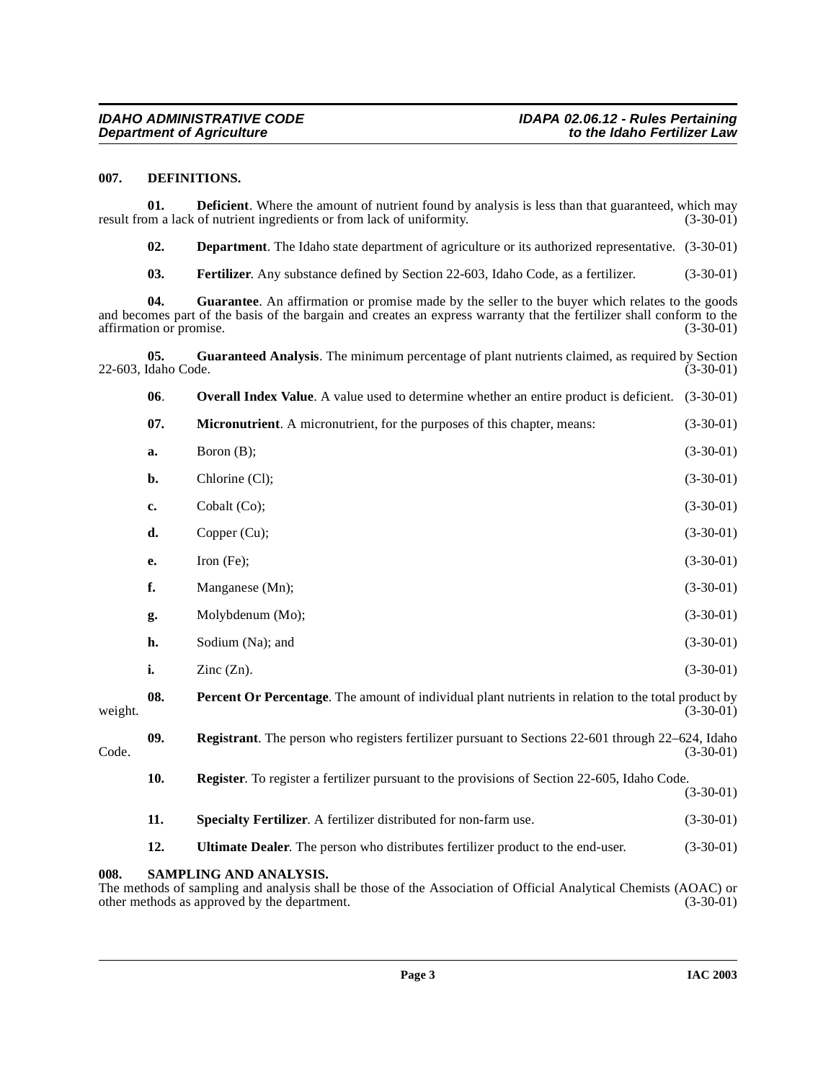### <span id="page-2-3"></span><span id="page-2-0"></span>**007. DEFINITIONS.**

**01. Deficient**. Where the amount of nutrient found by analysis is less than that guaranteed, which may om a lack of nutrient ingredients or from lack of uniformity. (3-30-01) result from a lack of nutrient ingredients or from lack of uniformity.

<span id="page-2-2"></span>**02. Department**. The Idaho state department of agriculture or its authorized representative. (3-30-01)

<span id="page-2-4"></span>**03. Fertilizer**. Any substance defined by Section 22-603, Idaho Code, as a fertilizer. (3-30-01)

**04. Guarantee**. An affirmation or promise made by the seller to the buyer which relates to the goods and becomes part of the basis of the bargain and creates an express warranty that the fertilizer shall conform to the affirmation or promise. (3-30-01) affirmation or promise.

**05.** Guaranteed Analysis. The minimum percentage of plant nutrients claimed, as required by Section (daho Code. (3-30-01) 22-603, Idaho Code.

<span id="page-2-6"></span><span id="page-2-5"></span>

|         | 06.                    | <b>Overall Index Value</b> . A value used to determine whether an entire product is deficient. (3-30-01)                 |             |  |
|---------|------------------------|--------------------------------------------------------------------------------------------------------------------------|-------------|--|
|         | 07.                    | Micronutrient. A micronutrient, for the purposes of this chapter, means:                                                 | $(3-30-01)$ |  |
|         | a.                     | Boron (B);                                                                                                               | $(3-30-01)$ |  |
|         | b.                     | Chlorine (Cl);                                                                                                           | $(3-30-01)$ |  |
|         | c.                     | Cobalt (Co);                                                                                                             | $(3-30-01)$ |  |
|         | d.                     | Copper (Cu);                                                                                                             | $(3-30-01)$ |  |
|         | е.                     | Iron $(Fe)$ ;                                                                                                            | $(3-30-01)$ |  |
|         | f.                     | Manganese (Mn);                                                                                                          | $(3-30-01)$ |  |
|         | g.                     | Molybdenum (Mo);                                                                                                         | $(3-30-01)$ |  |
|         | h.                     | Sodium (Na); and                                                                                                         | $(3-30-01)$ |  |
|         | i.                     | Zinc $(Zn)$ .                                                                                                            | $(3-30-01)$ |  |
| weight. | 08.                    | Percent Or Percentage. The amount of individual plant nutrients in relation to the total product by<br>$(3-30-01)$       |             |  |
| Code.   | 09.                    | <b>Registrant</b> . The person who registers fertilizer pursuant to Sections 22-601 through 22–624, Idaho<br>$(3-30-01)$ |             |  |
|         | 10.                    | <b>Register</b> . To register a fertilizer pursuant to the provisions of Section 22-605, Idaho Code.                     | $(3-30-01)$ |  |
|         | 11.                    | Specialty Fertilizer. A fertilizer distributed for non-farm use.                                                         | $(3-30-01)$ |  |
|         | 12.                    | Ultimate Dealer. The person who distributes fertilizer product to the end-user.                                          | $(3-30-01)$ |  |
| 008.    | SAMPLING AND ANALYSIS. |                                                                                                                          |             |  |

<span id="page-2-8"></span><span id="page-2-7"></span><span id="page-2-1"></span>The methods of sampling and analysis shall be those of the Association of Official Analytical Chemists (AOAC) or other methods as approved by the department. (3-30-01) (3-30-01)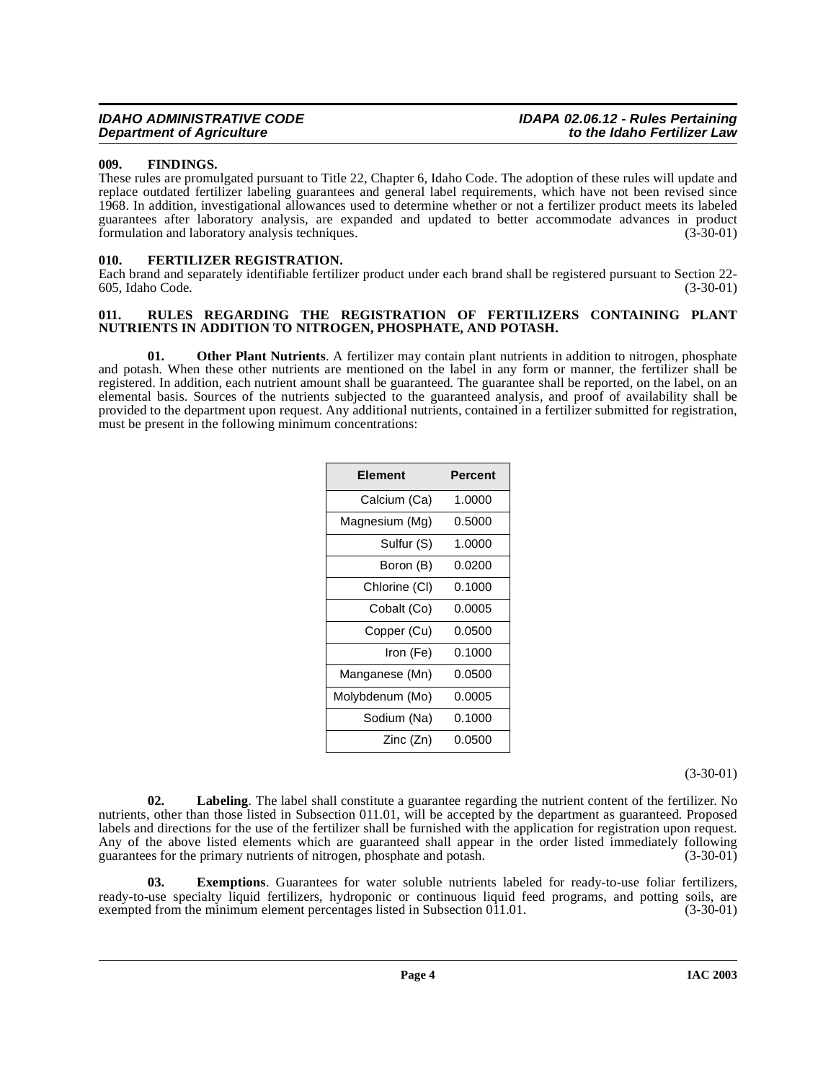# <span id="page-3-0"></span>**009. FINDINGS.**

These rules are promulgated pursuant to Title 22, Chapter 6, Idaho Code. The adoption of these rules will update and replace outdated fertilizer labeling guarantees and general label requirements, which have not been revised since 1968. In addition, investigational allowances used to determine whether or not a fertilizer product meets its labeled guarantees after laboratory analysis, are expanded and updated to better accommodate advances in product formulation and laboratory analysis techniques.

## <span id="page-3-3"></span><span id="page-3-1"></span>**010. FERTILIZER REGISTRATION.**

Each brand and separately identifiable fertilizer product under each brand shall be registered pursuant to Section 22- 605, Idaho Code. (3-30-01)

## <span id="page-3-5"></span><span id="page-3-2"></span>**011. RULES REGARDING THE REGISTRATION OF FERTILIZERS CONTAINING PLANT NUTRIENTS IN ADDITION TO NITROGEN, PHOSPHATE, AND POTASH.**

**01. Other Plant Nutrients**. A fertilizer may contain plant nutrients in addition to nitrogen, phosphate and potash. When these other nutrients are mentioned on the label in any form or manner, the fertilizer shall be registered. In addition, each nutrient amount shall be guaranteed. The guarantee shall be reported, on the label, on an elemental basis. Sources of the nutrients subjected to the guaranteed analysis, and proof of availability shall be provided to the department upon request. Any additional nutrients, contained in a fertilizer submitted for registration, must be present in the following minimum concentrations:

| Element         | Percent |
|-----------------|---------|
| Calcium (Ca)    | 1.0000  |
| Magnesium (Mg)  | 0.5000  |
| Sulfur (S)      | 1.0000  |
| Boron (B)       | 0.0200  |
| Chlorine (CI)   | 0.1000  |
| Cobalt (Co)     | 0.0005  |
| Copper (Cu)     | 0.0500  |
| Iron (Fe)       | 0.1000  |
| Manganese (Mn)  | 0.0500  |
| Molybdenum (Mo) | 0.0005  |
| Sodium (Na)     | 0.1000  |
| Zinc (Zn)       | 0.0500  |

(3-30-01)

<span id="page-3-4"></span>**02. Labeling**. The label shall constitute a guarantee regarding the nutrient content of the fertilizer. No nutrients, other than those listed in Subsection 011.01, will be accepted by the department as guaranteed. Proposed labels and directions for the use of the fertilizer shall be furnished with the application for registration upon request. Any of the above listed elements which are guaranteed shall appear in the order listed immediately following guarantees for the primary nutrients of nitrogen, phosphate and potash. (3-30-01) guarantees for the primary nutrients of nitrogen, phosphate and potash.

**03. Exemptions**. Guarantees for water soluble nutrients labeled for ready-to-use foliar fertilizers, ready-to-use specialty liquid fertilizers, hydroponic or continuous liquid feed programs, and potting soils, are exempted from the minimum element percentages listed in Subsection  $011.01$ .  $(3-30-01)$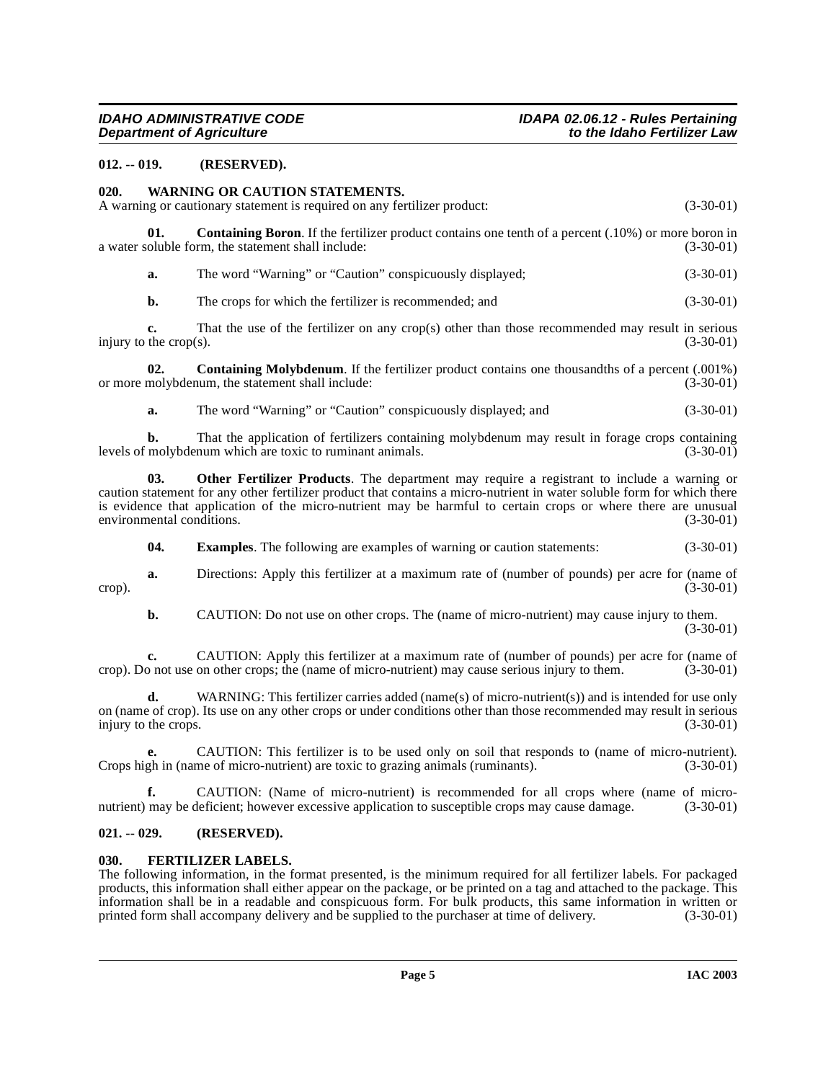# <span id="page-4-0"></span>**012. -- 019. (RESERVED).**

# <span id="page-4-8"></span><span id="page-4-1"></span>**020. WARNING OR CAUTION STATEMENTS.**

A warning or cautionary statement is required on any fertilizer product: (3-30-01)

**01. Containing Boron**. If the fertilizer product contains one tenth of a percent (.10%) or more boron in coluble form, the statement shall include: (3-30-01) a water soluble form, the statement shall include:

<span id="page-4-4"></span>**a.** The word "Warning" or "Caution" conspicuously displayed; (3-30-01)

**b.** The crops for which the fertilizer is recommended; and (3-30-01)

**c.** That the use of the fertilizer on any crop(s) other than those recommended may result in serious injury to the crop(s).  $(3-30-01)$ 

**02. Containing Molybdenum**. If the fertilizer product contains one thousandths of a percent (.001%) molybdenum, the statement shall include: (3-30-01) or more molybdenum, the statement shall include:

<span id="page-4-7"></span><span id="page-4-5"></span>**a.** The word "Warning" or "Caution" conspicuously displayed; and (3-30-01)

**b.** That the application of fertilizers containing molybdenum may result in forage crops containing molybdenum which are toxic to ruminant animals. (3-30-01) levels of molybdenum which are toxic to ruminant animals.

**03. Other Fertilizer Products**. The department may require a registrant to include a warning or caution statement for any other fertilizer product that contains a micro-nutrient in water soluble form for which there is evidence that application of the micro-nutrient may be harmful to certain crops or where there are unusual environmental conditions. (3-30-01) environmental conditions.

**04. Examples**. The following are examples of warning or caution statements: (3-30-01)

**a.** Directions: Apply this fertilizer at a maximum rate of (number of pounds) per acre for (name of (3-30-01) crop). (3-30-01)

**b.** CAUTION: Do not use on other crops. The (name of micro-nutrient) may cause injury to them. (3-30-01)

**c.** CAUTION: Apply this fertilizer at a maximum rate of (number of pounds) per acre for (name of onot use on other crops; the (name of micro-nutrient) may cause serious injury to them. (3-30-01) crop). Do not use on other crops; the (name of micro-nutrient) may cause serious injury to them.

**d.** WARNING: This fertilizer carries added (name(s) of micro-nutrient(s)) and is intended for use only on (name of crop). Its use on any other crops or under conditions other than those recommended may result in serious injury to the crops. (3-30-01) injury to the crops.

**CAUTION:** This fertilizer is to be used only on soil that responds to (name of micro-nutrient).<br>me of micro-nutrient) are toxic to grazing animals (ruminants). (3-30-01) Crops high in (name of micro-nutrient) are toxic to grazing animals (ruminants).

**f.** CAUTION: (Name of micro-nutrient) is recommended for all crops where (name of micronutrient) may be deficient; however excessive application to susceptible crops may cause damage. (3-30-01)

# <span id="page-4-2"></span>**021. -- 029. (RESERVED).**

## <span id="page-4-6"></span><span id="page-4-3"></span>**030. FERTILIZER LABELS.**

The following information, in the format presented, is the minimum required for all fertilizer labels. For packaged products, this information shall either appear on the package, or be printed on a tag and attached to the package. This information shall be in a readable and conspicuous form. For bulk products, this same information in written or printed form shall accompany delivery and be supplied to the purchaser at time of delivery. (3-30-01)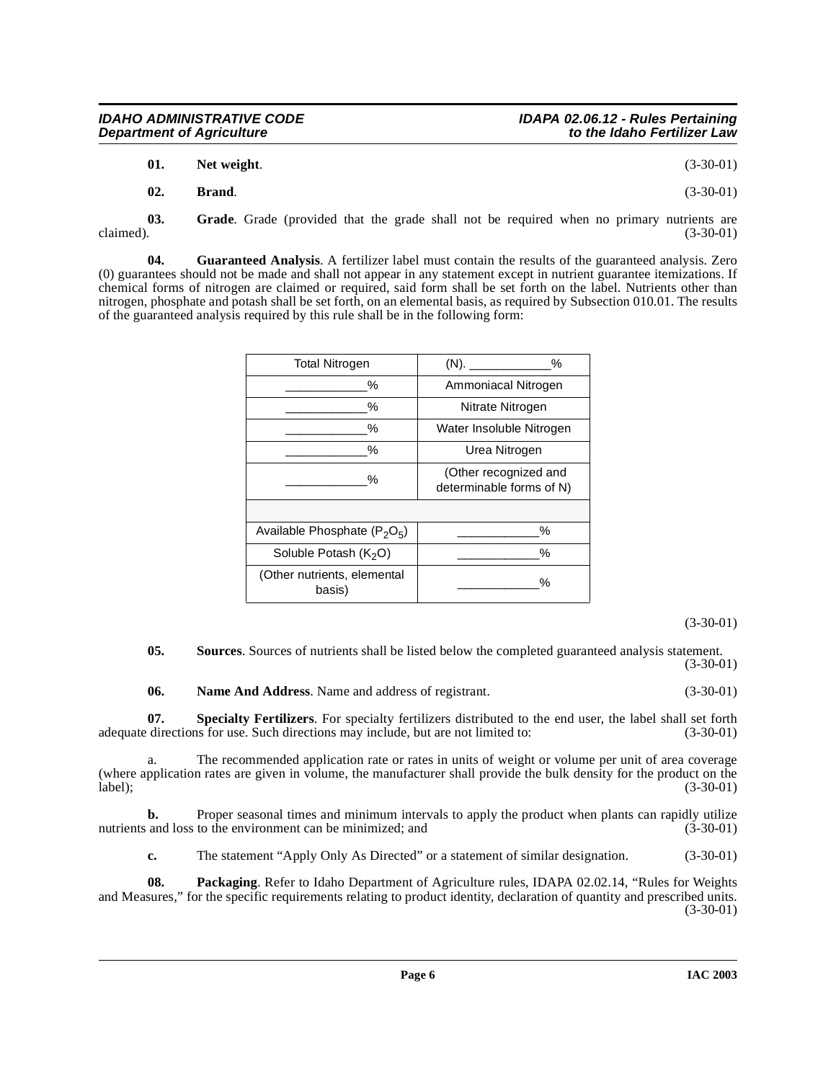| 01. | Net weight. | $(3-30-01)$ |
|-----|-------------|-------------|
|     |             |             |

<span id="page-5-0"></span>**02. Brand**. (3-30-01)

**03.** Grade. Grade (provided that the grade shall not be required when no primary nutrients are claimed). (3-30-01) claimed).  $(3-30-01)$ 

**04. Guaranteed Analysis**. A fertilizer label must contain the results of the guaranteed analysis. Zero (0) guarantees should not be made and shall not appear in any statement except in nutrient guarantee itemizations. If chemical forms of nitrogen are claimed or required, said form shall be set forth on the label. Nutrients other than nitrogen, phosphate and potash shall be set forth, on an elemental basis, as required by Subsection 010.01. The results of the guaranteed analysis required by this rule shall be in the following form:

| <b>Total Nitrogen</b>                 | %<br>$(N)$ .                                      |
|---------------------------------------|---------------------------------------------------|
| %                                     | Ammoniacal Nitrogen                               |
| %                                     | Nitrate Nitrogen                                  |
| ℅                                     | Water Insoluble Nitrogen                          |
| %                                     | Urea Nitrogen                                     |
| %                                     | (Other recognized and<br>determinable forms of N) |
|                                       |                                                   |
| Available Phosphate $(P_2O_5)$        | $\frac{0}{0}$                                     |
| Soluble Potash (K <sub>2</sub> O)     | $\frac{0}{0}$                                     |
| (Other nutrients, elemental<br>basis) | %                                                 |

(3-30-01)

**05.** Sources. Sources of nutrients shall be listed below the completed guaranteed analysis statement. (3-30-01)

<span id="page-5-2"></span><span id="page-5-1"></span>**06. Name And Address**. Name and address of registrant. (3-30-01)

**07. Specialty Fertilizers**. For specialty fertilizers distributed to the end user, the label shall set forth directions for use. Such directions may include, but are not limited to:  $(3-30-01)$ adequate directions for use. Such directions may include, but are not limited to:

a. The recommended application rate or rates in units of weight or volume per unit of area coverage (where application rates are given in volume, the manufacturer shall provide the bulk density for the product on the label);<br>(3-30-01) label); (3-30-01)

**b.** Proper seasonal times and minimum intervals to apply the product when plants can rapidly utilize nutrients and loss to the environment can be minimized; and (3-30-01) (3-30-01)

**c.** The statement "Apply Only As Directed" or a statement of similar designation. (3-30-01)

**08. Packaging**. [Refer to Idaho Department of Agriculture rules, IDAPA 02.02.14, "Rules for Weights](http://www2.state.id.us/adm/adminrules/rules/idapa02/0214.pdf) [and Measures," for the specific requirements relating to product identity, declaration of quantity and prescribed units.](http://www2.state.id.us/adm/adminrules/rules/idapa02/0214.pdf) (3-30-01)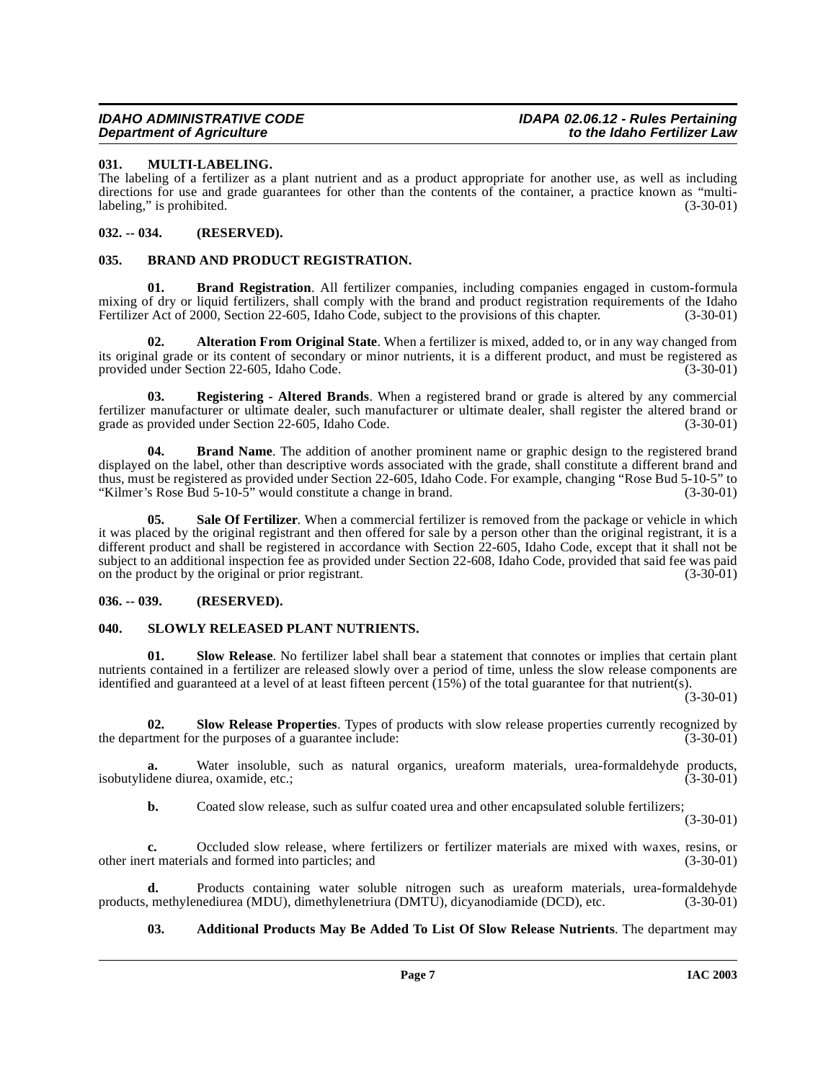# <span id="page-6-9"></span><span id="page-6-0"></span>**031. MULTI-LABELING.**

The labeling of a fertilizer as a plant nutrient and as a product appropriate for another use, as well as including directions for use and grade guarantees for other than the contents of the container, a practice known as "multi-<br>abeling." is prohibited. (3-30-01) labeling," is prohibited.

# <span id="page-6-1"></span>**032. -- 034. (RESERVED).**

# <span id="page-6-6"></span><span id="page-6-2"></span>**035. BRAND AND PRODUCT REGISTRATION.**

<span id="page-6-8"></span>**Brand Registration.** All fertilizer companies, including companies engaged in custom-formula mixing of dry or liquid fertilizers, shall comply with the brand and product registration requirements of the Idaho<br>Fertilizer Act of 2000, Section 22-605, Idaho Code, subject to the provisions of this chapter. (3-30-01) Fertilizer Act of 2000, Section 22-605, Idaho Code, subject to the provisions of this chapter.

<span id="page-6-5"></span>**02. Alteration From Original State**. When a fertilizer is mixed, added to, or in any way changed from its original grade or its content of secondary or minor nutrients, it is a different product, and must be registered as provided under Section 22-605, Idaho Code. (3-30-01)

<span id="page-6-10"></span>**03. Registering - Altered Brands**. When a registered brand or grade is altered by any commercial fertilizer manufacturer or ultimate dealer, such manufacturer or ultimate dealer, shall register the altered brand or grade as provided under Section 22-605, Idaho Code. (3-30-01)

<span id="page-6-7"></span>**04. Brand Name**. The addition of another prominent name or graphic design to the registered brand displayed on the label, other than descriptive words associated with the grade, shall constitute a different brand and thus, must be registered as provided under Section 22-605, Idaho Code. For example, changing "Rose Bud 5-10-5" to "Kilmer's Rose Bud 5-10-5" would constitute a change in brand. (3-30-01)

<span id="page-6-11"></span>**05. Sale Of Fertilizer**. When a commercial fertilizer is removed from the package or vehicle in which it was placed by the original registrant and then offered for sale by a person other than the original registrant, it is a different product and shall be registered in accordance with Section 22-605, Idaho Code, except that it shall not be subject to an additional inspection fee as provided under Section 22-608, Idaho Code, provided that said fee was paid on the product by the original or prior registrant. (3-30-01)

# <span id="page-6-3"></span>**036. -- 039. (RESERVED).**

# <span id="page-6-14"></span><span id="page-6-4"></span>**040. SLOWLY RELEASED PLANT NUTRIENTS.**

<span id="page-6-13"></span>**01. Slow Release**. No fertilizer label shall bear a statement that connotes or implies that certain plant nutrients contained in a fertilizer are released slowly over a period of time, unless the slow release components are identified and guaranteed at a level of at least fifteen percent (15%) of the total guarantee for that nutrient(s).

 $(3 - 30 - 01)$ 

<span id="page-6-12"></span>**02. Slow Release Properties**. Types of products with slow release properties currently recognized by the department for the purposes of a guarantee include: (3-30-01)

**a.** Water insoluble, such as natural organics, ureaform materials, urea-formaldehyde products, dene diurea oxamide etc.: isobutylidene diurea, oxamide, etc.;

**b.** Coated slow release, such as sulfur coated urea and other encapsulated soluble fertilizers;

(3-30-01)

**c.** Occluded slow release, where fertilizers or fertilizer materials are mixed with waxes, resins, or other inert materials and formed into particles; and (3-30-01)

**d.** Products containing water soluble nitrogen such as ureaform materials, urea-formaldehyde, methylenediurea (MDU), dimethylenetriura (DMTU), dicyanodiamide (DCD), etc. (3-30-01) products, methylenediurea (MDU), dimethylenetriura (DMTU), dicyanodiamide (DCD), etc.

**03. Additional Products May Be Added To List Of Slow Release Nutrients**. The department may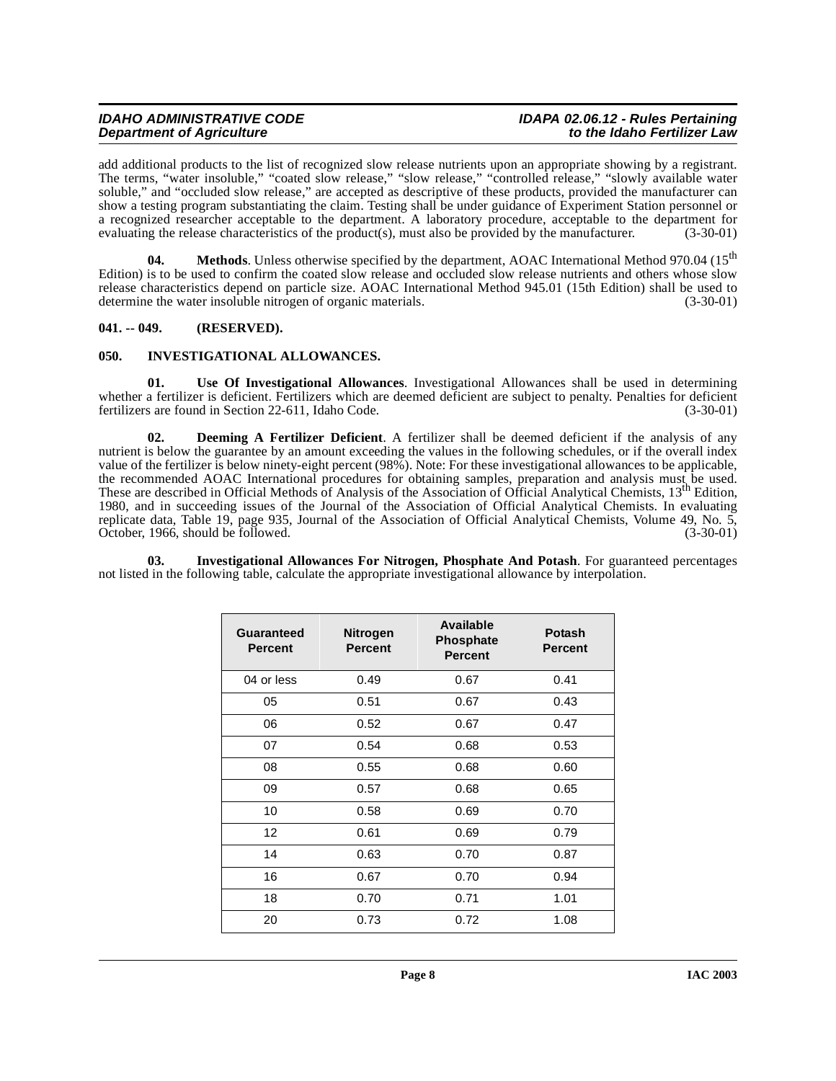# **IDAHO ADMINISTRATIVE CODE IDAPA 02.06.12 - Rules Pertaining Department of Agriculture**

add additional products to the list of recognized slow release nutrients upon an appropriate showing by a registrant. The terms, "water insoluble," "coated slow release," "slow release," "controlled release," "slowly available water soluble," and "occluded slow release," are accepted as descriptive of these products, provided the manufacturer can show a testing program substantiating the claim. Testing shall be under guidance of Experiment Station personnel or a recognized researcher acceptable to the department. A laboratory procedure, acceptable to the department for evaluating the release characteristics of the product(s), must also be provided by the manufacturer. (3-30-01)

**04.** Methods. Unless otherwise specified by the department, AOAC International Method 970.04 (15<sup>th</sup>) Edition) is to be used to confirm the coated slow release and occluded slow release nutrients and others whose slow release characteristics depend on particle size. AOAC International Method 945.01 (15th Edition) shall be used to determine the water insoluble nitrogen of organic materials. (3-30-01)

# <span id="page-7-0"></span>**041. -- 049. (RESERVED).**

# <span id="page-7-4"></span><span id="page-7-1"></span>**050. INVESTIGATIONAL ALLOWANCES.**

**01. Use Of Investigational Allowances**. Investigational Allowances shall be used in determining whether a fertilizer is deficient. Fertilizers which are deemed deficient are subject to penalty. Penalties for deficient fertilizers are found in Section 22-611, Idaho Code. (3-30-01)

<span id="page-7-2"></span>**02. Deeming A Fertilizer Deficient**. A fertilizer shall be deemed deficient if the analysis of any nutrient is below the guarantee by an amount exceeding the values in the following schedules, or if the overall index value of the fertilizer is below ninety-eight percent (98%). Note: For these investigational allowances to be applicable, the recommended AOAC International procedures for obtaining samples, preparation and analysis must be used. These are described in Official Methods of Analysis of the Association of Official Analytical Chemists, 13<sup>th</sup> Edition, 1980, and in succeeding issues of the Journal of the Association of Official Analytical Chemists. In evaluating replicate data, Table 19, page 935, Journal of the Association of Official Analytical Chemists, Volume 49, No. 5, October, 1966, should be followed. (3-30-01) (3-30-01)

**03. Investigational Allowances For Nitrogen, Phosphate And Potash**. For guaranteed percentages not listed in the following table, calculate the appropriate investigational allowance by interpolation.

<span id="page-7-3"></span>

| Guaranteed<br><b>Percent</b> | <b>Nitrogen</b><br><b>Percent</b> | <b>Available</b><br><b>Phosphate</b><br><b>Percent</b> | <b>Potash</b><br><b>Percent</b> |
|------------------------------|-----------------------------------|--------------------------------------------------------|---------------------------------|
| 04 or less                   | 0.49                              | 0.67                                                   | 0.41                            |
| 05                           | 0.51                              | 0.67                                                   | 0.43                            |
| 06                           | 0.52                              | 0.67                                                   | 0.47                            |
| 07                           | 0.54                              | 0.68                                                   | 0.53                            |
| 08                           | 0.55                              | 0.68                                                   | 0.60                            |
| 09                           | 0.57                              | 0.68                                                   | 0.65                            |
| 10                           | 0.58                              | 0.69                                                   | 0.70                            |
| $12 \overline{ }$            | 0.61                              | 0.69                                                   | 0.79                            |
| 14                           | 0.63                              | 0.70                                                   | 0.87                            |
| 16                           | 0.67                              | 0.70                                                   | 0.94                            |
| 18                           | 0.70                              | 0.71                                                   | 1.01                            |
| 20                           | 0.73                              | 0.72                                                   | 1.08                            |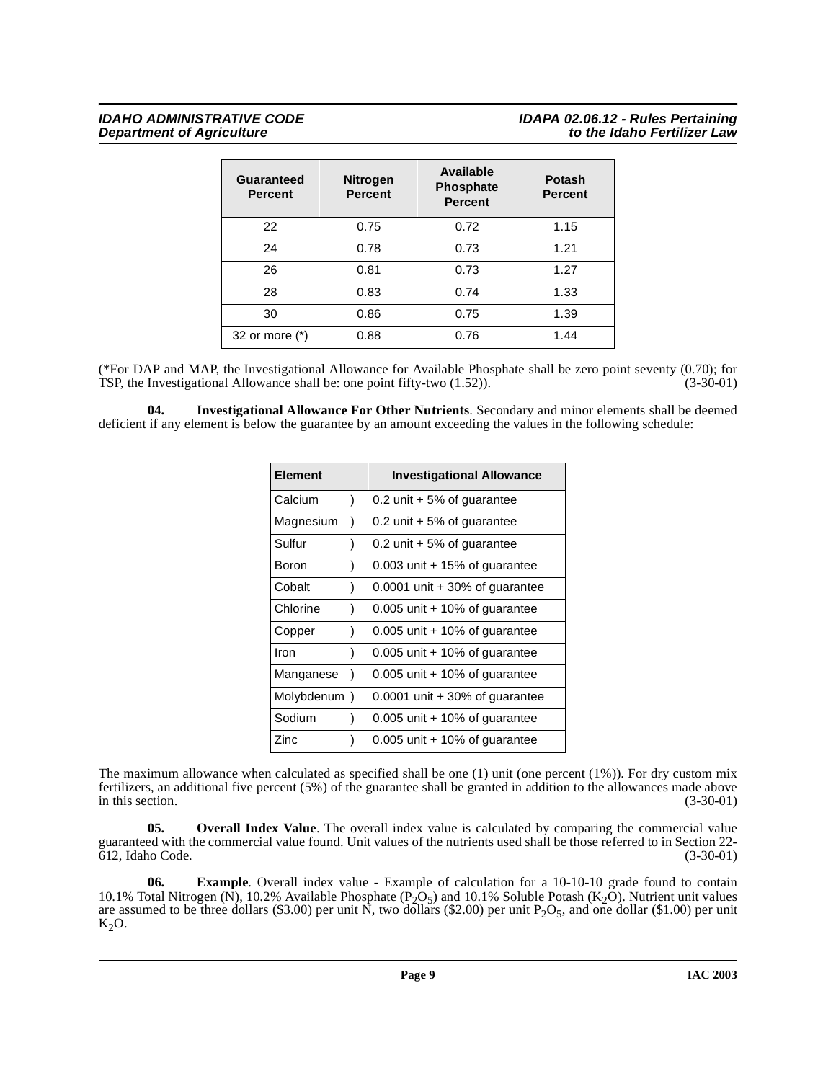| Guaranteed<br><b>Percent</b> | <b>Nitrogen</b><br><b>Percent</b> | <b>Available</b><br><b>Phosphate</b><br><b>Percent</b> | <b>Potash</b><br><b>Percent</b> |
|------------------------------|-----------------------------------|--------------------------------------------------------|---------------------------------|
| 22                           | 0.75                              | 0.72                                                   | 1.15                            |
| 24                           | 0.78                              | 0.73                                                   | 1.21                            |
| 26                           | 0.81                              | 0.73                                                   | 1.27                            |
| 28                           | 0.83                              | 0.74                                                   | 1.33                            |
| 30                           | 0.86                              | 0.75                                                   | 1.39                            |
| 32 or more (*)               | 0.88                              | 0.76                                                   | 1.44                            |

(\*For DAP and MAP, the Investigational Allowance for Available Phosphate shall be zero point seventy (0.70); for TSP, the Investigational Allowance shall be: one point fifty-two  $(1.52)$ ).  $(3-30-01)$ TSP, the Investigational Allowance shall be: one point fifty-two  $(1.52)$ ).

<span id="page-8-0"></span>**04. Investigational Allowance For Other Nutrients**. Secondary and minor elements shall be deemed deficient if any element is below the guarantee by an amount exceeding the values in the following schedule:

| <b>Element</b> |           | <b>Investigational Allowance</b> |
|----------------|-----------|----------------------------------|
| Calcium        | $\lambda$ | $0.2$ unit + 5% of guarantee     |
| Magnesium      | ١         | 0.2 unit $+5\%$ of guarantee     |
| Sulfur         | 1         | 0.2 unit $+5\%$ of guarantee     |
| Boron          | )         | $0.003$ unit + 15% of guarantee  |
| Cobalt         | ١         | $0.0001$ unit + 30% of guarantee |
| Chlorine       | 1         | $0.005$ unit + 10% of guarantee  |
| Copper         | ١         | $0.005$ unit + 10% of guarantee  |
| Iron           | ١         | $0.005$ unit + 10% of guarantee  |
| Manganese      | ۱         | $0.005$ unit + 10% of guarantee  |
| Molybdenum)    |           | $0.0001$ unit + 30% of guarantee |
| Sodium         | )         | $0.005$ unit + 10% of guarantee  |
| Zinc           |           | $0.005$ unit + 10% of guarantee  |

The maximum allowance when calculated as specified shall be one (1) unit (one percent (1%)). For dry custom mix fertilizers, an additional five percent (5%) of the guarantee shall be granted in addition to the allowances made above in this section.

<span id="page-8-1"></span>**05. Overall Index Value**. The overall index value is calculated by comparing the commercial value guaranteed with the commercial value found. Unit values of the nutrients used shall be those referred to in Section 22- 612, Idaho Code. (3-30-01)

**06. Example**. Overall index value - Example of calculation for a 10-10-10 grade found to contain 10.1% Total Nitrogen (N), 10.2% Available Phosphate (P<sub>2</sub>O<sub>5</sub>) and 10.1% Soluble Potash (K<sub>2</sub>O). Nutrient unit values are assumed to be three dollars (\$3.00) per unit N, two dollars (\$2.00) per unit  $P_2O_5$ , and one dollar (\$1.00) per unit  $K_2O$ .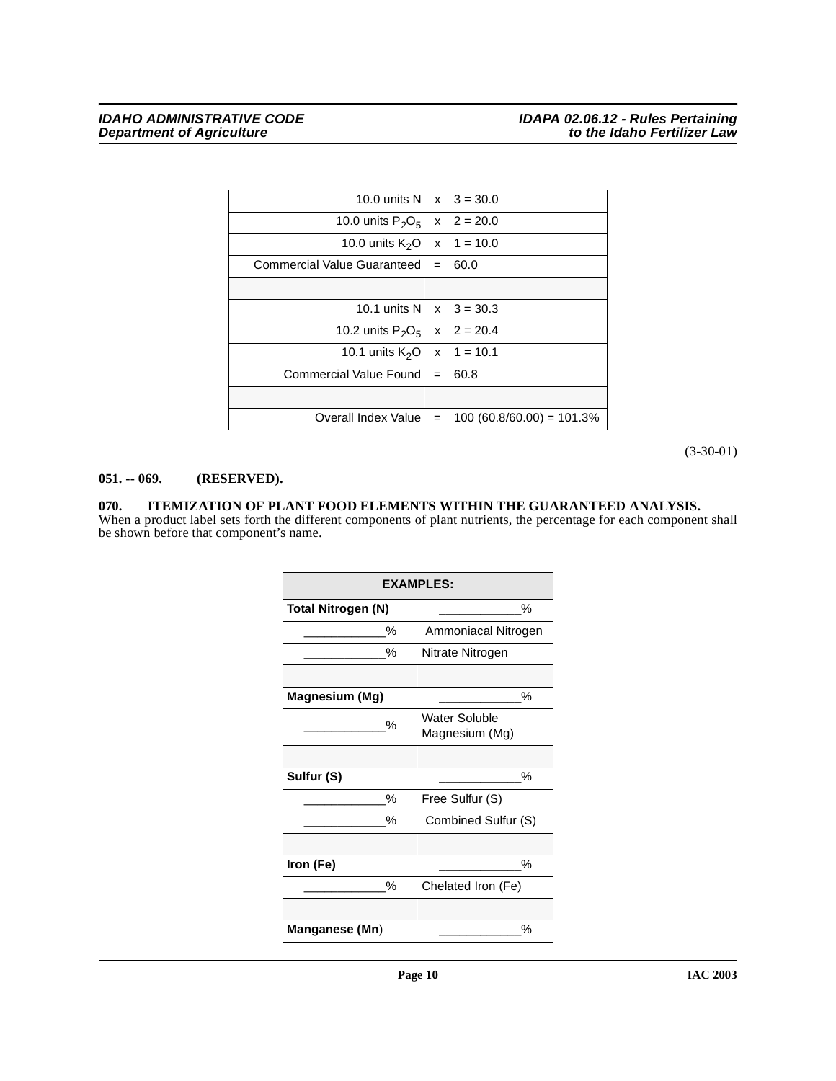|                                      | Overall Index Value = $100 (60.8/60.00) = 101.3\%$ |
|--------------------------------------|----------------------------------------------------|
|                                      |                                                    |
| Commercial Value Found $= 60.8$      |                                                    |
| 10.1 units $K_2O \times 1 = 10.1$    |                                                    |
| 10.2 units $P_2O_5$ x 2 = 20.4       |                                                    |
| 10.1 units N $x$ 3 = 30.3            |                                                    |
|                                      |                                                    |
| Commercial Value Guaranteed $= 60.0$ |                                                    |
| 10.0 units $K_2O$ x 1 = 10.0         |                                                    |
| 10.0 units $P_2O_5$ x 2 = 20.0       |                                                    |
| 10.0 units N $x$ 3 = 30.0            |                                                    |

(3-30-01)

# <span id="page-9-0"></span>**051. -- 069. (RESERVED).**

### <span id="page-9-2"></span><span id="page-9-1"></span>**070. ITEMIZATION OF PLANT FOOD ELEMENTS WITHIN THE GUARANTEED ANALYSIS.** When a product label sets forth the different components of plant nutrients, the percentage for each component shall

be shown before that component's name.

| <b>EXAMPLES:</b>        |                     |  |  |  |
|-------------------------|---------------------|--|--|--|
| %<br>Total Nitrogen (N) |                     |  |  |  |
| %                       | Ammoniacal Nitrogen |  |  |  |
| %                       | Nitrate Nitrogen    |  |  |  |
|                         |                     |  |  |  |
| Magnesium (Mg)          | %                   |  |  |  |
|                         | Water Soluble       |  |  |  |
| %                       | Magnesium (Mg)      |  |  |  |
|                         |                     |  |  |  |
| Sulfur (S)              | %                   |  |  |  |
| %                       | Free Sulfur (S)     |  |  |  |
| %                       | Combined Sulfur (S) |  |  |  |
|                         |                     |  |  |  |
| Iron (Fe)               | %                   |  |  |  |
| %                       | Chelated Iron (Fe)  |  |  |  |
|                         |                     |  |  |  |
| Manganese (Mn)<br>℅     |                     |  |  |  |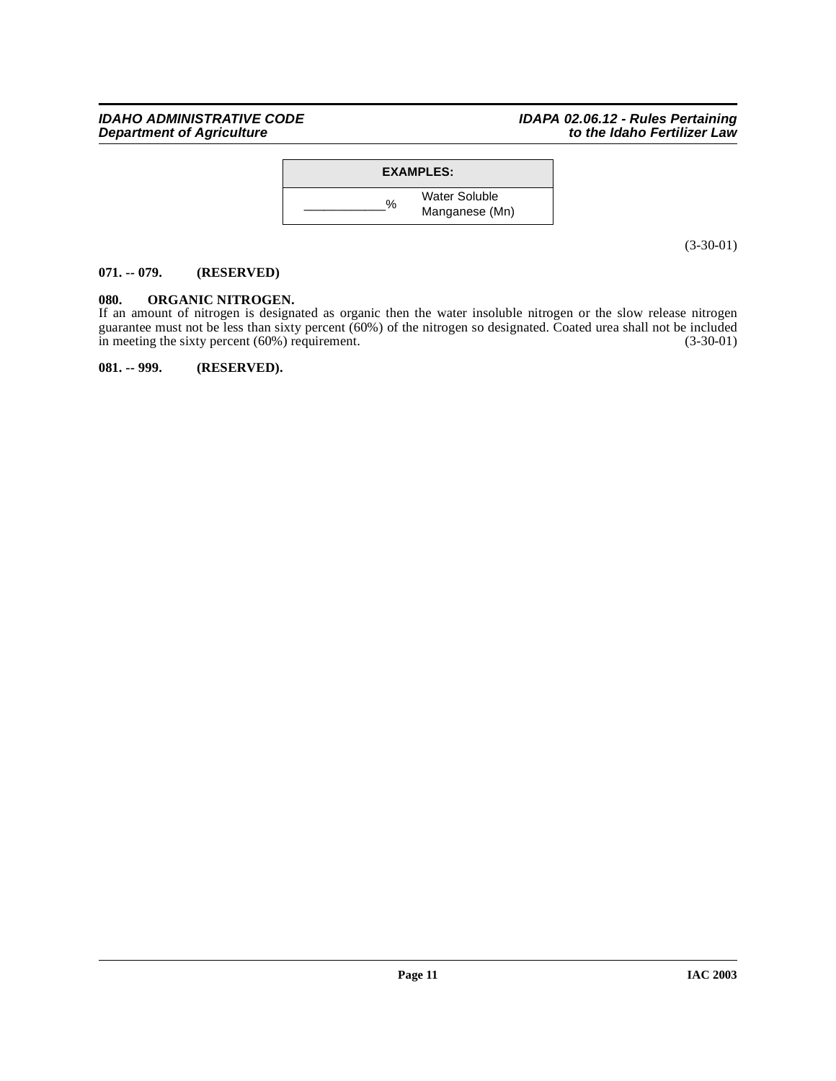# **IDAHO ADMINISTRATIVE CODE IDAPA 02.06.12 - Rules Pertaining Department of Agriculture to the Idaho Fertilizer Law**



(3-30-01)

# <span id="page-10-0"></span>**071. -- 079. (RESERVED)**

# <span id="page-10-1"></span>**080. ORGANIC NITROGEN.**

If an amount of nitrogen is designated as organic then the water insoluble nitrogen or the slow release nitrogen guarantee must not be less than sixty percent (60%) of the nitrogen so designated. Coated urea shall not be included in meeting the sixty percent (60%) requirement. (3-30-01)

<span id="page-10-2"></span>**081. -- 999. (RESERVED).**